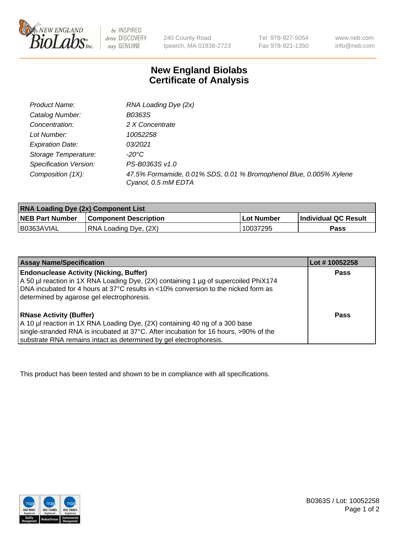

 $be$  INSPIRED drive DISCOVERY stay GENUINE

240 County Road Ipswich, MA 01938-2723 Tel 978-927-5054 Fax 978-921-1350 www.neb.com info@neb.com

## **New England Biolabs Certificate of Analysis**

| Product Name:           | RNA Loading Dye (2x)                                                                      |
|-------------------------|-------------------------------------------------------------------------------------------|
| Catalog Number:         | B0363S                                                                                    |
| Concentration:          | 2 X Concentrate                                                                           |
| Lot Number:             | 10052258                                                                                  |
| <b>Expiration Date:</b> | 03/2021                                                                                   |
| Storage Temperature:    | -20°C                                                                                     |
| Specification Version:  | PS-B0363S v1.0                                                                            |
| Composition (1X):       | 47.5% Formamide, 0.01% SDS, 0.01 % Bromophenol Blue, 0.005% Xylene<br>Cyanol, 0.5 mM EDTA |

| <b>RNA Loading Dye (2x) Component List</b> |                              |            |                             |  |
|--------------------------------------------|------------------------------|------------|-----------------------------|--|
| <b>NEB Part Number</b>                     | <b>Component Description</b> | Lot Number | <b>Individual QC Result</b> |  |
| B0363AVIAL                                 | RNA Loading Dye, (2X)        | 10037295   | Pass                        |  |

| <b>Assay Name/Specification</b>                                                                                                                                                                                                                                             | Lot # 10052258 |
|-----------------------------------------------------------------------------------------------------------------------------------------------------------------------------------------------------------------------------------------------------------------------------|----------------|
| <b>Endonuclease Activity (Nicking, Buffer)</b><br>A 50 µl reaction in 1X RNA Loading Dye, (2X) containing 1 µg of supercoiled PhiX174<br>DNA incubated for 4 hours at 37°C results in <10% conversion to the nicked form as<br>determined by agarose gel electrophoresis.   | <b>Pass</b>    |
| <b>RNase Activity (Buffer)</b><br>A 10 µl reaction in 1X RNA Loading Dye, (2X) containing 40 ng of a 300 base<br>single-stranded RNA is incubated at 37°C. After incubation for 16 hours, >90% of the<br>substrate RNA remains intact as determined by gel electrophoresis. | Pass           |

This product has been tested and shown to be in compliance with all specifications.